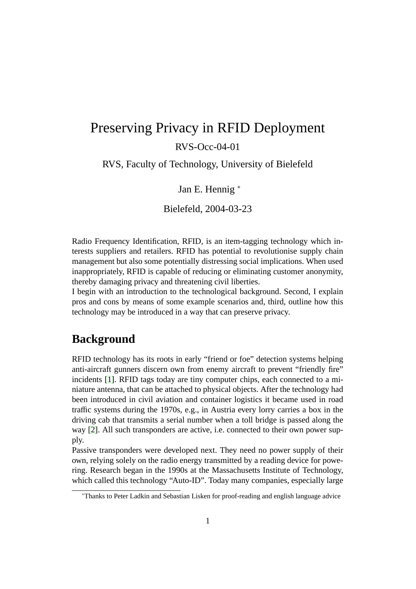# Preserving Privacy in RFID Deployment RVS-Occ-04-01

RVS, Faculty of Technology, University of Bielefeld

Jan E. Hennig <sup>∗</sup>

Bielefeld, 2004-03-23

Radio Frequency Identification, RFID, is an item-tagging technology which interests suppliers and retailers. RFID has potential to revolutionise supply chain management but also some potentially distressing social implications. When used inappropriately, RFID is capable of reducing or eliminating customer anonymity, thereby damaging privacy and threatening civil liberties.

I begin with an introduction to the technological background. Second, I explain pros and cons by means of some example scenarios and, third, outline how this technology may be introduced in a way that can preserve privacy.

### **Background**

RFID technology has its roots in early "friend or foe" detection systems helping anti-aircraft gunners discern own from enemy aircraft to prevent "friendly fire" incidents [\[1\]](#page-7-0). RFID tags today are tiny computer chips, each connected to a miniature antenna, that can be attached to physical objects. After the technology had been introduced in civil aviation and container logistics it became used in road traffic systems during the 1970s, e.g., in Austria every lorry carries a box in the driving cab that transmits a serial number when a toll bridge is passed along the way [\[2\]](#page-8-0). All such transponders are active, i.e. connected to their own power supply.

Passive transponders were developed next. They need no power supply of their own, relying solely on the radio energy transmitted by a reading device for powering. Research began in the 1990s at the Massachusetts Institute of Technology, which called this technology "Auto-ID". Today many companies, especially large

<sup>∗</sup>Thanks to Peter Ladkin and Sebastian Lisken for proof-reading and english language advice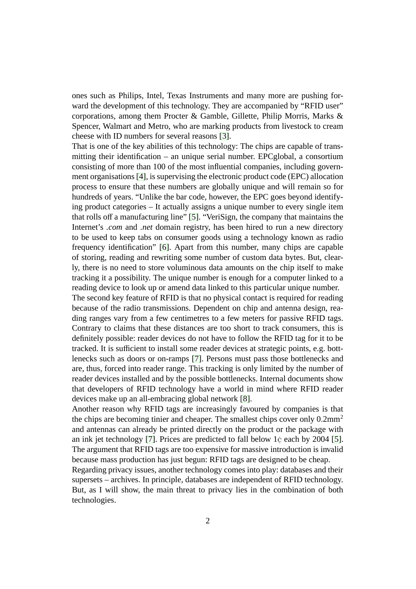ones such as Philips, Intel, Texas Instruments and many more are pushing forward the development of this technology. They are accompanied by "RFID user" corporations, among them Procter & Gamble, Gillette, Philip Morris, Marks & Spencer, Walmart and Metro, who are marking products from livestock to cream cheese with ID numbers for several reasons [\[3\]](#page-8-1).

That is one of the key abilities of this technology: The chips are capable of transmitting their identification – an unique serial number. EPCglobal, a consortium consisting of more than 100 of the most influential companies, including government organisations [\[4\]](#page-8-2), is supervising the electronic product code (EPC) allocation process to ensure that these numbers are globally unique and will remain so for hundreds of years. "Unlike the bar code, however, the EPC goes beyond identifying product categories – It actually assigns a unique number to every single item that rolls off a manufacturing line" [\[5\]](#page-8-3). "VeriSign, the company that maintains the Internet's *.com* and *.net* domain registry, has been hired to run a new directory to be used to keep tabs on consumer goods using a technology known as radio frequency identification" [\[6\]](#page-8-4). Apart from this number, many chips are capable of storing, reading and rewriting some number of custom data bytes. But, clearly, there is no need to store voluminous data amounts on the chip itself to make tracking it a possibility. The unique number is enough for a computer linked to a reading device to look up or amend data linked to this particular unique number.

The second key feature of RFID is that no physical contact is required for reading because of the radio transmissions. Dependent on chip and antenna design, reading ranges vary from a few centimetres to a few meters for passive RFID tags. Contrary to claims that these distances are too short to track consumers, this is definitely possible: reader devices do not have to follow the RFID tag for it to be tracked. It is sufficient to install some reader devices at strategic points, e.g. bottlenecks such as doors or on-ramps [\[7\]](#page-8-5). Persons must pass those bottlenecks and are, thus, forced into reader range. This tracking is only limited by the number of reader devices installed and by the possible bottlenecks. Internal documents show that developers of RFID technology have a world in mind where RFID reader devices make up an all-embracing global network [\[8\]](#page-8-6).

Another reason why RFID tags are increasingly favoured by companies is that the chips are becoming tinier and cheaper. The smallest chips cover only  $0.2$ mm<sup>2</sup> and antennas can already be printed directly on the product or the package with an ink jet technology [\[7\]](#page-8-5). Prices are predicted to fall below  $1¢$  each by 2004 [\[5\]](#page-8-3). The argument that RFID tags are too expensive for massive introduction is invalid because mass production has just begun: RFID tags are designed to be cheap.

Regarding privacy issues, another technology comes into play: databases and their supersets – archives. In principle, databases are independent of RFID technology. But, as I will show, the main threat to privacy lies in the combination of both technologies.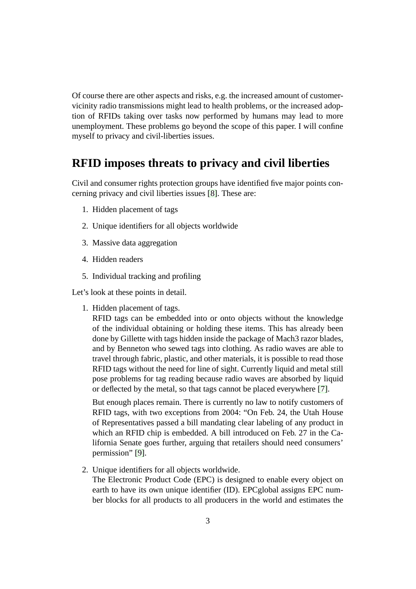Of course there are other aspects and risks, e.g. the increased amount of customervicinity radio transmissions might lead to health problems, or the increased adoption of RFIDs taking over tasks now performed by humans may lead to more unemployment. These problems go beyond the scope of this paper. I will confine myself to privacy and civil-liberties issues.

## **RFID imposes threats to privacy and civil liberties**

Civil and consumer rights protection groups have identified five major points concerning privacy and civil liberties issues [\[8\]](#page-8-6). These are:

- 1. Hidden placement of tags
- 2. Unique identifiers for all objects worldwide
- 3. Massive data aggregation
- 4. Hidden readers
- 5. Individual tracking and profiling

Let's look at these points in detail.

1. Hidden placement of tags.

RFID tags can be embedded into or onto objects without the knowledge of the individual obtaining or holding these items. This has already been done by Gillette with tags hidden inside the package of Mach3 razor blades, and by Benneton who sewed tags into clothing. As radio waves are able to travel through fabric, plastic, and other materials, it is possible to read those RFID tags without the need for line of sight. Currently liquid and metal still pose problems for tag reading because radio waves are absorbed by liquid or deflected by the metal, so that tags cannot be placed everywhere [\[7\]](#page-8-5).

But enough places remain. There is currently no law to notify customers of RFID tags, with two exceptions from 2004: "On Feb. 24, the Utah House of Representatives passed a bill mandating clear labeling of any product in which an RFID chip is embedded. A bill introduced on Feb. 27 in the California Senate goes further, arguing that retailers should need consumers' permission" [\[9\]](#page-8-7).

2. Unique identifiers for all objects worldwide.

The Electronic Product Code (EPC) is designed to enable every object on earth to have its own unique identifier (ID). EPCglobal assigns EPC number blocks for all products to all producers in the world and estimates the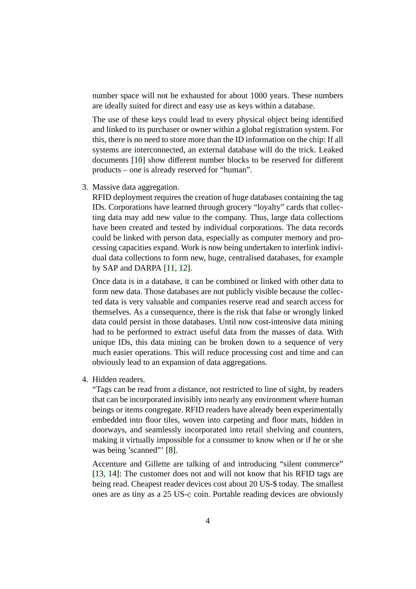number space will not be exhausted for about 1000 years. These numbers are ideally suited for direct and easy use as keys within a database.

The use of these keys could lead to every physical object being identified and linked to its purchaser or owner within a global registration system. For this, there is no need to store more than the ID information on the chip: If all systems are interconnected, an external database will do the trick. Leaked documents [\[10\]](#page-8-8) show different number blocks to be reserved for different products – one is already reserved for "human".

3. Massive data aggregation.

RFID deployment requires the creation of huge databases containing the tag IDs. Corporations have learned through grocery "loyalty" cards that collecting data may add new value to the company. Thus, large data collections have been created and tested by individual corporations. The data records could be linked with person data, especially as computer memory and processing capacities expand. Work is now being undertaken to interlink individual data collections to form new, huge, centralised databases, for example by SAP and DARPA [\[11,](#page-9-0) [12\]](#page-9-1).

Once data is in a database, it can be combined or linked with other data to form new data. Those databases are not publicly visible because the collected data is very valuable and companies reserve read and search access for themselves. As a consequence, there is the risk that false or wrongly linked data could persist in those databases. Until now cost-intensive data mining had to be performed to extract useful data from the masses of data. With unique IDs, this data mining can be broken down to a sequence of very much easier operations. This will reduce processing cost and time and can obviously lead to an expansion of data aggregations.

4. Hidden readers.

"Tags can be read from a distance, not restricted to line of sight, by readers that can be incorporated invisibly into nearly any environment where human beings or items congregate. RFID readers have already been experimentally embedded into floor tiles, woven into carpeting and floor mats, hidden in doorways, and seamlessly incorporated into retail shelving and counters, making it virtually impossible for a consumer to know when or if he or she was being 'scanned'" [\[8\]](#page-8-6).

Accenture and Gillette are talking of and introducing "silent commerce" [\[13,](#page-9-2) [14\]](#page-9-3): The customer does not and will not know that his RFID tags are being read. Cheapest reader devices cost about 20 US-\$ today. The smallest ones are as tiny as a 25 US-¢ coin. Portable reading devices are obviously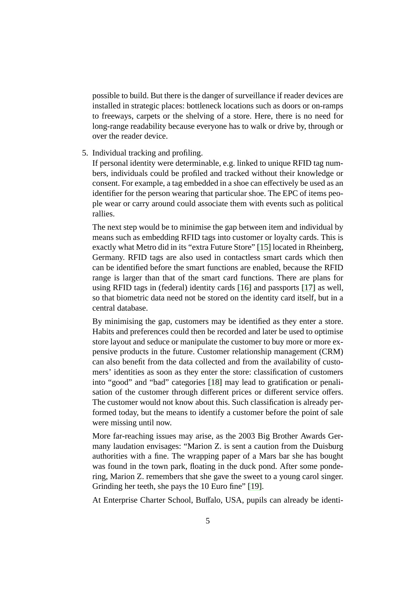possible to build. But there is the danger of surveillance if reader devices are installed in strategic places: bottleneck locations such as doors or on-ramps to freeways, carpets or the shelving of a store. Here, there is no need for long-range readability because everyone has to walk or drive by, through or over the reader device.

#### 5. Individual tracking and profiling.

If personal identity were determinable, e.g. linked to unique RFID tag numbers, individuals could be profiled and tracked without their knowledge or consent. For example, a tag embedded in a shoe can effectively be used as an identifier for the person wearing that particular shoe. The EPC of items people wear or carry around could associate them with events such as political rallies.

The next step would be to minimise the gap between item and individual by means such as embedding RFID tags into customer or loyalty cards. This is exactly what Metro did in its "extra Future Store" [\[15\]](#page-9-4) located in Rheinberg, Germany. RFID tags are also used in contactless smart cards which then can be identified before the smart functions are enabled, because the RFID range is larger than that of the smart card functions. There are plans for using RFID tags in (federal) identity cards [\[16\]](#page-9-5) and passports [\[17\]](#page-9-6) as well, so that biometric data need not be stored on the identity card itself, but in a central database.

By minimising the gap, customers may be identified as they enter a store. Habits and preferences could then be recorded and later be used to optimise store layout and seduce or manipulate the customer to buy more or more expensive products in the future. Customer relationship management (CRM) can also benefit from the data collected and from the availability of customers' identities as soon as they enter the store: classification of customers into "good" and "bad" categories [\[18\]](#page-9-7) may lead to gratification or penalisation of the customer through different prices or different service offers. The customer would not know about this. Such classification is already performed today, but the means to identify a customer before the point of sale were missing until now.

More far-reaching issues may arise, as the 2003 Big Brother Awards Germany laudation envisages: "Marion Z. is sent a caution from the Duisburg authorities with a fine. The wrapping paper of a Mars bar she has bought was found in the town park, floating in the duck pond. After some pondering, Marion Z. remembers that she gave the sweet to a young carol singer. Grinding her teeth, she pays the 10 Euro fine" [\[19\]](#page-9-8).

At Enterprise Charter School, Buffalo, USA, pupils can already be identi-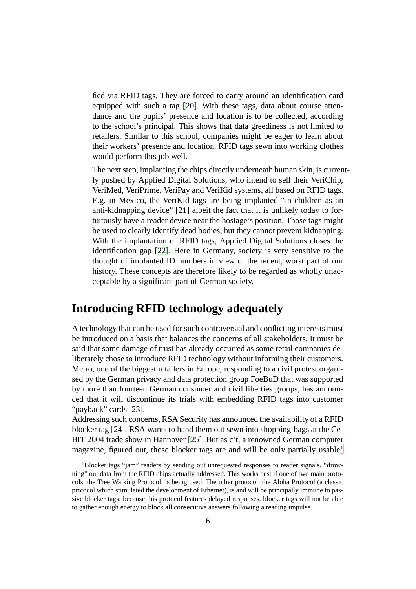fied via RFID tags. They are forced to carry around an identification card equipped with such a tag [\[20\]](#page-9-9). With these tags, data about course attendance and the pupils' presence and location is to be collected, according to the school's principal. This shows that data greediness is not limited to retailers. Similar to this school, companies might be eager to learn about their workers' presence and location. RFID tags sewn into working clothes would perform this job well.

The next step, implanting the chips directly underneath human skin, is currently pushed by Applied Digital Solutions, who intend to sell their VeriChip, VeriMed, VeriPrime, VeriPay and VeriKid systems, all based on RFID tags. E.g. in Mexico, the VeriKid tags are being implanted "in children as an anti-kidnapping device" [\[21\]](#page-9-10) albeit the fact that it is unlikely today to fortuitously have a reader device near the hostage's position. Those tags might be used to clearly identify dead bodies, but they cannot prevent kidnapping. With the implantation of RFID tags, Applied Digital Solutions closes the identification gap [\[22\]](#page-10-0). Here in Germany, society is very sensitive to the thought of implanted ID numbers in view of the recent, worst part of our history. These concepts are therefore likely to be regarded as wholly unacceptable by a significant part of German society.

### **Introducing RFID technology adequately**

A technology that can be used for such controversial and conflicting interests must be introduced on a basis that balances the concerns of all stakeholders. It must be said that some damage of trust has already occurred as some retail companies deliberately chose to introduce RFID technology without informing their customers. Metro, one of the biggest retailers in Europe, responding to a civil protest organised by the German privacy and data protection group FoeBuD that was supported by more than fourteen German consumer and civil liberties groups, has announced that it will discontinue its trials with embedding RFID tags into customer "payback" cards [\[23\]](#page-10-1).

Addressing such concerns, RSA Security has announced the availability of a RFID blocker tag [\[24\]](#page-10-2). RSA wants to hand them out sewn into shopping-bags at the Ce-BIT 2004 trade show in Hannover [\[25\]](#page-10-3). But as c't, a renowned German computer magazine, figured out, those blocker tags are and will be only partially usable  $1$ 

<span id="page-5-0"></span><sup>&</sup>lt;sup>1</sup>Blocker tags "jam" readers by sending out unrequested responses to reader signals, "drowning" out data from the RFID chips actually addressed. This works best if one of two main protocols, the Tree Walking Protocol, is being used. The other protocol, the Aloha Protocol (a classic protocol which stimulated the development of Ethernet), is and will be principally immune to passive blocker tags: because this protocol features delayed responses, blocker tags will not be able to gather enough energy to block all consecutive answers following a reading impulse.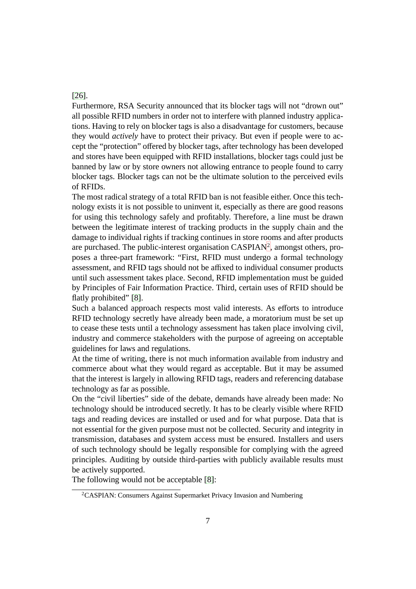#### [\[26\]](#page-10-4).

Furthermore, RSA Security announced that its blocker tags will not "drown out" all possible RFID numbers in order not to interfere with planned industry applications. Having to rely on blocker tags is also a disadvantage for customers, because they would *actively* have to protect their privacy. But even if people were to accept the "protection" offered by blocker tags, after technology has been developed and stores have been equipped with RFID installations, blocker tags could just be banned by law or by store owners not allowing entrance to people found to carry blocker tags. Blocker tags can not be the ultimate solution to the perceived evils of RFIDs.

The most radical strategy of a total RFID ban is not feasible either. Once this technology exists it is not possible to uninvent it, especially as there are good reasons for using this technology safely and profitably. Therefore, a line must be drawn between the legitimate interest of tracking products in the supply chain and the damage to individual rights if tracking continues in store rooms and after products are purchased. The public-interest organisation  $CASPIAN<sup>2</sup>$  $CASPIAN<sup>2</sup>$  $CASPIAN<sup>2</sup>$ , amongst others, proposes a three-part framework: "First, RFID must undergo a formal technology assessment, and RFID tags should not be affixed to individual consumer products until such assessment takes place. Second, RFID implementation must be guided by Principles of Fair Information Practice. Third, certain uses of RFID should be flatly prohibited" [\[8\]](#page-8-6).

Such a balanced approach respects most valid interests. As efforts to introduce RFID technology secretly have already been made, a moratorium must be set up to cease these tests until a technology assessment has taken place involving civil, industry and commerce stakeholders with the purpose of agreeing on acceptable guidelines for laws and regulations.

At the time of writing, there is not much information available from industry and commerce about what they would regard as acceptable. But it may be assumed that the interest is largely in allowing RFID tags, readers and referencing database technology as far as possible.

On the "civil liberties" side of the debate, demands have already been made: No technology should be introduced secretly. It has to be clearly visible where RFID tags and reading devices are installed or used and for what purpose. Data that is not essential for the given purpose must not be collected. Security and integrity in transmission, databases and system access must be ensured. Installers and users of such technology should be legally responsible for complying with the agreed principles. Auditing by outside third-parties with publicly available results must be actively supported.

<span id="page-6-0"></span>The following would not be acceptable [\[8\]](#page-8-6):

<sup>2</sup>CASPIAN: Consumers Against Supermarket Privacy Invasion and Numbering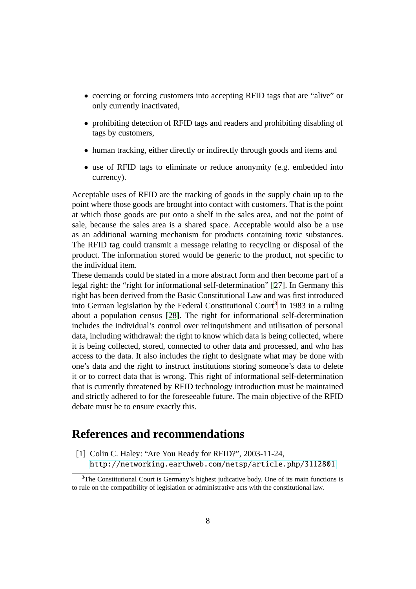- coercing or forcing customers into accepting RFID tags that are "alive" or only currently inactivated,
- prohibiting detection of RFID tags and readers and prohibiting disabling of tags by customers,
- human tracking, either directly or indirectly through goods and items and
- use of RFID tags to eliminate or reduce anonymity (e.g. embedded into currency).

Acceptable uses of RFID are the tracking of goods in the supply chain up to the point where those goods are brought into contact with customers. That is the point at which those goods are put onto a shelf in the sales area, and not the point of sale, because the sales area is a shared space. Acceptable would also be a use as an additional warning mechanism for products containing toxic substances. The RFID tag could transmit a message relating to recycling or disposal of the product. The information stored would be generic to the product, not specific to the individual item.

These demands could be stated in a more abstract form and then become part of a legal right: the "right for informational self-determination" [\[27\]](#page-10-5). In Germany this right has been derived from the Basic Constitutional Law and was first introduced into German legislation by the Federal Constitutional Court<sup>[3](#page-7-1)</sup> in 1983 in a ruling about a population census [\[28\]](#page-10-6). The right for informational self-determination includes the individual's control over relinquishment and utilisation of personal data, including withdrawal: the right to know which data is being collected, where it is being collected, stored, connected to other data and processed, and who has access to the data. It also includes the right to designate what may be done with one's data and the right to instruct institutions storing someone's data to delete it or to correct data that is wrong. This right of informational self-determination that is currently threatened by RFID technology introduction must be maintained and strictly adhered to for the foreseeable future. The main objective of the RFID debate must be to ensure exactly this.

### <span id="page-7-0"></span>**References and recommendations**

[1] Colin C. Haley: "Are You Ready for RFID?", 2003-11-24, <http://networking.earthweb.com/netsp/article.php/3112801>

<span id="page-7-1"></span> $3$ The Constitutional Court is Germany's highest judicative body. One of its main functions is to rule on the compatibility of legislation or administrative acts with the constitutional law.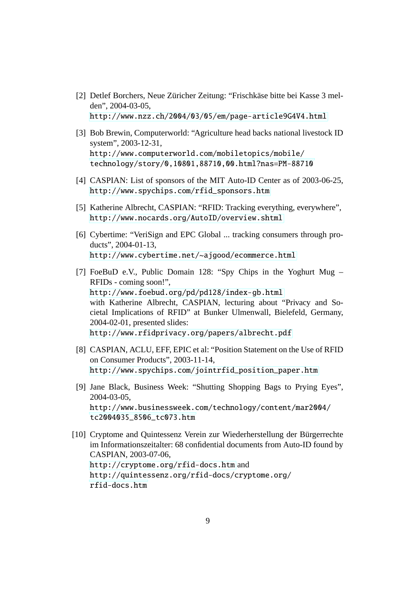- <span id="page-8-0"></span>[2] Detlef Borchers, Neue Züricher Zeitung: "Frischkäse bitte bei Kasse 3 melden", 2004-03-05, <http://www.nzz.ch/2004/03/05/em/page-article9G4V4.html>
- <span id="page-8-1"></span>[3] Bob Brewin, Computerworld: "Agriculture head backs national livestock ID system", 2003-12-31, http://www.computerworld.com/mobiletopics/mobile/ [technology/story/0,10801,88710,00.html?nas=PM-88710](http://www.computerworld.com/mobiletopics/mobile/technology/story/0,10801,88710,00.html?nas=PM-88710)
- <span id="page-8-3"></span><span id="page-8-2"></span>[4] CASPIAN: List of sponsors of the MIT Auto-ID Center as of 2003-06-25, [http://www.spychips.com/rfid\\_sponsors.htm](http://www.spychips.com/rfid_sponsors.htm)
- <span id="page-8-4"></span>[5] Katherine Albrecht, CASPIAN: "RFID: Tracking everything, everywhere", <http://www.nocards.org/AutoID/overview.shtml>
- [6] Cybertime: "VeriSign and EPC Global ... tracking consumers through products", 2004-01-13, <http://www.cybertime.net/~ajgood/ecommerce.html>
- <span id="page-8-5"></span>[7] FoeBuD e.V., Public Domain 128: "Spy Chips in the Yoghurt Mug – RFIDs - coming soon!", <http://www.foebud.org/pd/pd128/index-gb.html> with Katherine Albrecht, CASPIAN, lecturing about "Privacy and Societal Implications of RFID" at Bunker Ulmenwall, Bielefeld, Germany, 2004-02-01, presented slides: <http://www.rfidprivacy.org/papers/albrecht.pdf>
- <span id="page-8-6"></span>[8] CASPIAN, ACLU, EFF, EPIC et al: "Position Statement on the Use of RFID on Consumer Products", 2003-11-14, [http://www.spychips.com/jointrfid\\_position\\_paper.htm](http://www.spychips.com/jointrfid_position_paper.htm)
- <span id="page-8-7"></span>[9] Jane Black, Business Week: "Shutting Shopping Bags to Prying Eyes", 2004-03-05, http://www.businessweek.com/technology/content/mar2004/ [tc2004035\\_8506\\_tc073.htm](http://www.businessweek.com/technology/content/mar2004/tc2004035_8506_tc073.htm)
- <span id="page-8-8"></span>[10] Cryptome and Quintessenz Verein zur Wiederherstellung der Bürgerrechte im Informationszeitalter: 68 confidential documents from Auto-ID found by CASPIAN, 2003-07-06, <http://cryptome.org/rfid-docs.htm> and http://quintessenz.org/rfid-docs/cryptome.org/ [rfid-docs.htm](http://quintessenz.org/rfid-docs/cryptome.org/rfid-docs.htm)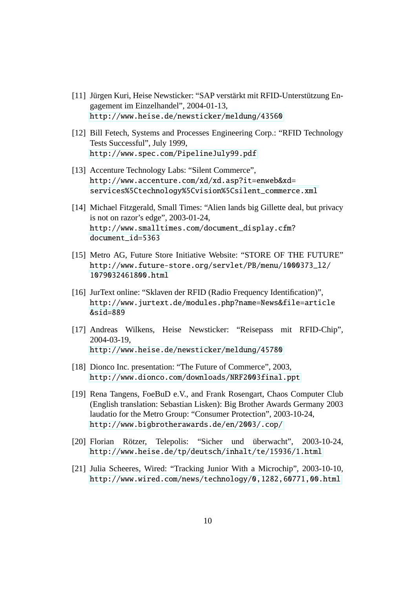- <span id="page-9-0"></span>[11] Jürgen Kuri, Heise Newsticker: "SAP verstärkt mit RFID-Unterstützung Engagement im Einzelhandel", 2004-01-13, <http://www.heise.de/newsticker/meldung/43560>
- <span id="page-9-1"></span>[12] Bill Fetech, Systems and Processes Engineering Corp.: "RFID Technology Tests Successful", July 1999, <http://www.spec.com/PipelineJuly99.pdf>
- <span id="page-9-2"></span>[13] Accenture Technology Labs: "Silent Commerce", http://www.accenture.com/xd/xd.asp?it=enweb&xd= [services%5Ctechnology%5Cvision%5Csilent\\_commerce.xml](http://www.accenture.com/xd/xd.asp?it=enweb&xd=services%5Ctechnology%5Cvision%5Csilent_commerce.xml)
- <span id="page-9-3"></span>[14] Michael Fitzgerald, Small Times: "Alien lands big Gillette deal, but privacy is not on razor's edge", 2003-01-24, http://www.smalltimes.com/document\_display.cfm? [document\\_id=5363](http://www.smalltimes.com/document_display.cfm?document_id=5363)
- <span id="page-9-4"></span>[15] Metro AG, Future Store Initiative Website: "STORE OF THE FUTURE" http://www.future-store.org/servlet/PB/menu/1000373\_l2/ [1079032461800.html](http://www.future-store.org/servlet/PB/menu/1000373_l2/1079032461800.html)
- <span id="page-9-5"></span>[16] JurText online: "Sklaven der RFID (Radio Frequency Identification)", http://www.jurtext.de/modules.php?name=News&file=article [&sid=889](http://www.jurtext.de/modules.php?name=News&file=article&sid=889)
- <span id="page-9-6"></span>[17] Andreas Wilkens, Heise Newsticker: "Reisepass mit RFID-Chip", 2004-03-19, <http://www.heise.de/newsticker/meldung/45780>
- <span id="page-9-8"></span><span id="page-9-7"></span>[18] Dionco Inc. presentation: "The Future of Commerce", 2003, <http://www.dionco.com/downloads/NRF2003final.ppt>
- [19] Rena Tangens, FoeBuD e.V., and Frank Rosengart, Chaos Computer Club (English translation: Sebastian Lisken): Big Brother Awards Germany 2003 laudatio for the Metro Group: "Consumer Protection", 2003-10-24, <http://www.bigbrotherawards.de/en/2003/.cop/>
- <span id="page-9-9"></span>[20] Florian Rötzer, Telepolis: "Sicher und überwacht", 2003-10-24, <http://www.heise.de/tp/deutsch/inhalt/te/15936/1.html>
- <span id="page-9-10"></span>[21] Julia Scheeres, Wired: "Tracking Junior With a Microchip", 2003-10-10, <http://www.wired.com/news/technology/0,1282,60771,00.html>